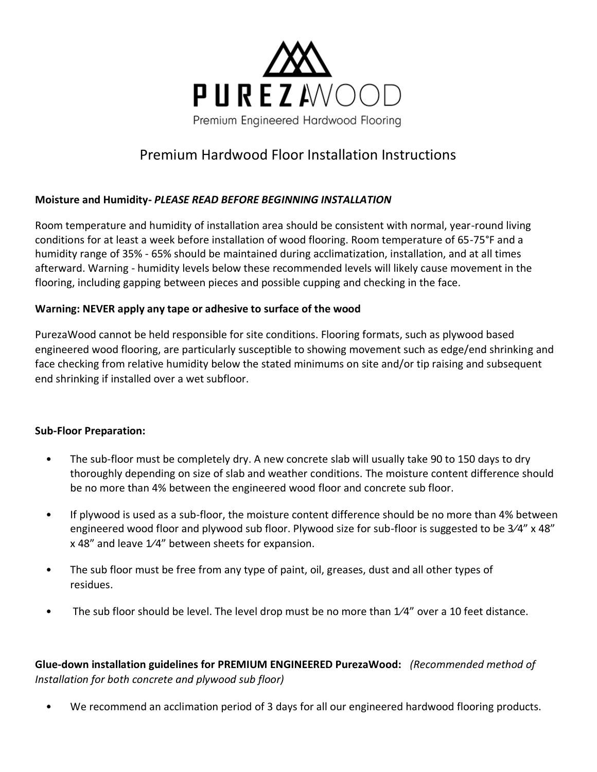

# Premium Hardwood Floor Installation Instructions

## **Moisture and Humidity-** *PLEASE READ BEFORE BEGINNING INSTALLATION*

Room temperature and humidity of installation area should be consistent with normal, year-round living conditions for at least a week before installation of wood flooring. Room temperature of 65-75°F and a humidity range of 35% - 65% should be maintained during acclimatization, installation, and at all times afterward. Warning - humidity levels below these recommended levels will likely cause movement in the flooring, including gapping between pieces and possible cupping and checking in the face.

## **Warning: NEVER apply any tape or adhesive to surface of the wood**

PurezaWood cannot be held responsible for site conditions. Flooring formats, such as plywood based engineered wood flooring, are particularly susceptible to showing movement such as edge/end shrinking and face checking from relative humidity below the stated minimums on site and/or tip raising and subsequent end shrinking if installed over a wet subfloor.

#### **Sub-Floor Preparation:**

- The sub-floor must be completely dry. A new concrete slab will usually take 90 to 150 days to dry thoroughly depending on size of slab and weather conditions. The moisture content difference should be no more than 4% between the engineered wood floor and concrete sub floor.
- If plywood is used as a sub-floor, the moisture content difference should be no more than 4% between engineered wood floor and plywood sub floor. Plywood size for sub-floor is suggested to be 3⁄4" x 48" x 48" and leave 1⁄4" between sheets for expansion.
- The sub floor must be free from any type of paint, oil, greases, dust and all other types of residues.
- The sub floor should be level. The level drop must be no more than  $1/4$ " over a 10 feet distance.

**Glue-down installation guidelines for PREMIUM ENGINEERED PurezaWood:** *(Recommended method of Installation for both concrete and plywood sub floor)* 

• We recommend an acclimation period of 3 days for all our engineered hardwood flooring products.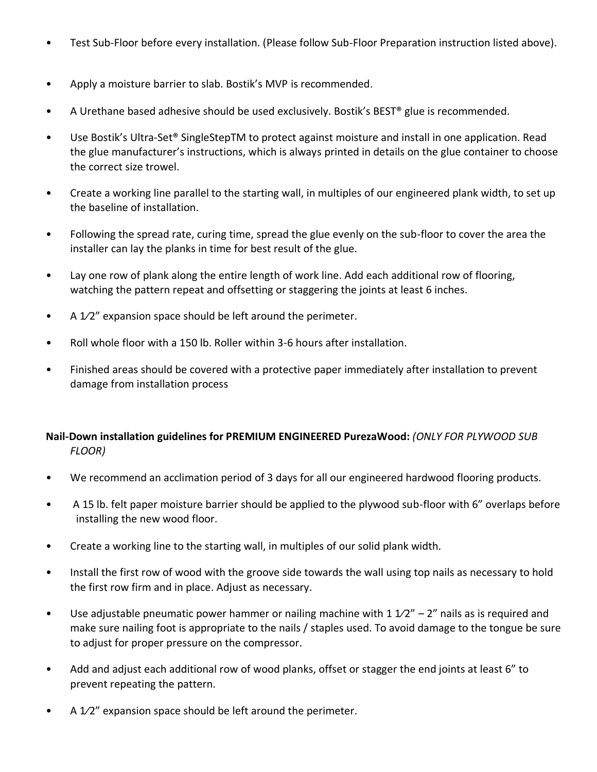- Test Sub-Floor before every installation. (Please follow Sub-Floor Preparation instruction listed above).
- Apply a moisture barrier to slab. Bostik's MVP is recommended.
- A Urethane based adhesive should be used exclusively. Bostik's BEST<sup>®</sup> glue is recommended.
- Use Bostik's Ultra-Set® SingleStepTM to protect against moisture and install in one application. Read the glue manufacturer's instructions, which is always printed in details on the glue container to choose the correct size trowel.
- Create a working line parallel to the starting wall, in multiples of our engineered plank width, to set up the baseline of installation.
- Following the spread rate, curing time, spread the glue evenly on the sub-floor to cover the area the installer can lay the planks in time for best result of the glue.
- Lay one row of plank along the entire length of work line. Add each additional row of flooring, watching the pattern repeat and offsetting or staggering the joints at least 6 inches.
- A 1/2" expansion space should be left around the perimeter.
- Roll whole floor with a 150 lb. Roller within 3-6 hours after installation.
- Finished areas should be covered with a protective paper immediately after installation to prevent damage from installation process

## **Nail-Down installation guidelines for PREMIUM ENGINEERED PurezaWood:** *(ONLY FOR PLYWOOD SUB FLOOR)*

- We recommend an acclimation period of 3 days for all our engineered hardwood flooring products.
- A 15 lb. felt paper moisture barrier should be applied to the plywood sub-floor with 6" overlaps before installing the new wood floor.
- Create a working line to the starting wall, in multiples of our solid plank width.
- Install the first row of wood with the groove side towards the wall using top nails as necessary to hold the first row firm and in place. Adjust as necessary.
- Use adjustable pneumatic power hammer or nailing machine with 1  $1/2'' 2''$  nails as is required and make sure nailing foot is appropriate to the nails / staples used. To avoid damage to the tongue be sure to adjust for proper pressure on the compressor.
- Add and adjust each additional row of wood planks, offset or stagger the end joints at least 6" to prevent repeating the pattern.
- A 1/2" expansion space should be left around the perimeter.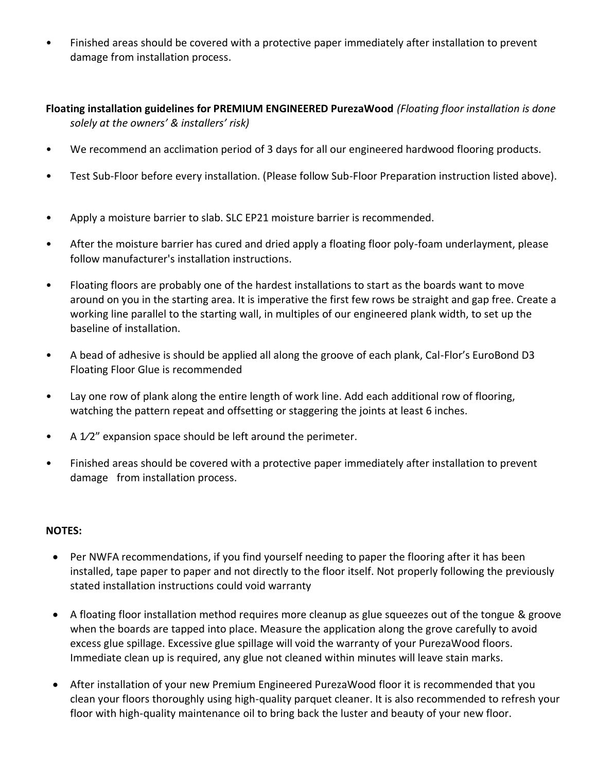Finished areas should be covered with a protective paper immediately after installation to prevent damage from installation process.

**Floating installation guidelines for PREMIUM ENGINEERED PurezaWood** *(Floating floor installation is done solely at the owners' & installers' risk)*

- We recommend an acclimation period of 3 days for all our engineered hardwood flooring products.
- Test Sub-Floor before every installation. (Please follow Sub-Floor Preparation instruction listed above).
- Apply a moisture barrier to slab. SLC EP21 moisture barrier is recommended.
- After the moisture barrier has cured and dried apply a floating floor poly-foam underlayment, please follow manufacturer's installation instructions.
- Floating floors are probably one of the hardest installations to start as the boards want to move around on you in the starting area. It is imperative the first few rows be straight and gap free. Create a working line parallel to the starting wall, in multiples of our engineered plank width, to set up the baseline of installation.
- A bead of adhesive is should be applied all along the groove of each plank, Cal-Flor's EuroBond D3 Floating Floor Glue is recommended
- Lay one row of plank along the entire length of work line. Add each additional row of flooring, watching the pattern repeat and offsetting or staggering the joints at least 6 inches.
- A 1/2" expansion space should be left around the perimeter.
- Finished areas should be covered with a protective paper immediately after installation to prevent damage from installation process.

#### **NOTES:**

- Per NWFA recommendations, if you find yourself needing to paper the flooring after it has been installed, tape paper to paper and not directly to the floor itself. Not properly following the previously stated installation instructions could void warranty
- A floating floor installation method requires more cleanup as glue squeezes out of the tongue & groove when the boards are tapped into place. Measure the application along the grove carefully to avoid excess glue spillage. Excessive glue spillage will void the warranty of your PurezaWood floors. Immediate clean up is required, any glue not cleaned within minutes will leave stain marks.
- After installation of your new Premium Engineered PurezaWood floor it is recommended that you clean your floors thoroughly using high-quality parquet cleaner. It is also recommended to refresh your floor with high-quality maintenance oil to bring back the luster and beauty of your new floor.